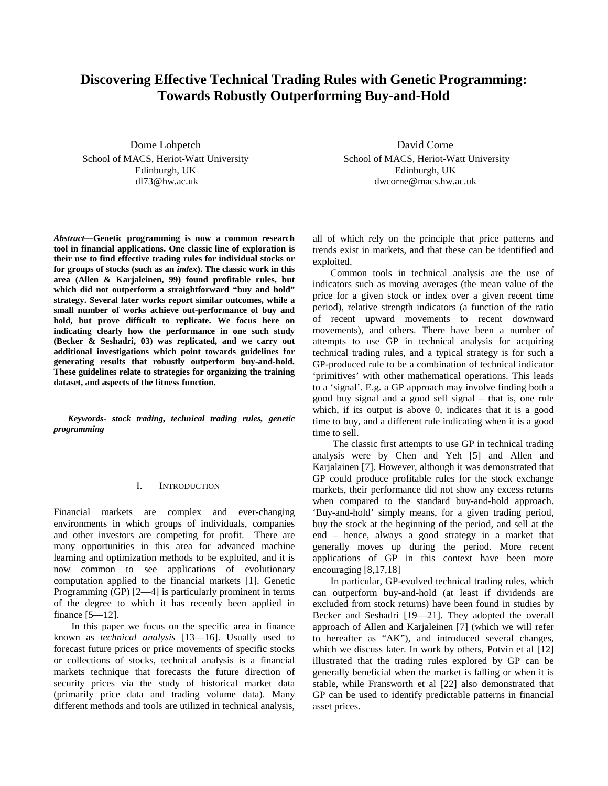# **Discovering Effective Technical Trading Rules with Genetic Programming: Towards Robustly Outperforming Buy-and-Hold**

Dome Lohpetch School of MACS, Heriot-Watt University Edinburgh, UK dl73@hw.ac.uk

*Abstract***—Genetic programming is now a common research tool in financial applications. One classic line of exploration is their use to find effective trading rules for individual stocks or for groups of stocks (such as an** *index***). The classic work in this area (Allen & Karjaleinen, 99) found profitable rules, but which did not outperform a straightforward "buy and hold" strategy. Several later works report similar outcomes, while a small number of works achieve out-performance of buy and hold, but prove difficult to replicate. We focus here on indicating clearly how the performance in one such study (Becker & Seshadri, 03) was replicated, and we carry out additional investigations which point towards guidelines for generating results that robustly outperform buy-and-hold. These guidelines relate to strategies for organizing the training dataset, and aspects of the fitness function.** 

*Keywords- stock trading, technical trading rules, genetic programming* 

# I. INTRODUCTION

Financial markets are complex and ever-changing environments in which groups of individuals, companies and other investors are competing for profit. There are many opportunities in this area for advanced machine learning and optimization methods to be exploited, and it is now common to see applications of evolutionary computation applied to the financial markets [1]. Genetic Programming (GP) [2—4] is particularly prominent in terms of the degree to which it has recently been applied in finance [5—12].

In this paper we focus on the specific area in finance known as *technical analysis* [13—16]. Usually used to forecast future prices or price movements of specific stocks or collections of stocks, technical analysis is a financial markets technique that forecasts the future direction of security prices via the study of historical market data (primarily price data and trading volume data). Many different methods and tools are utilized in technical analysis,

David Corne School of MACS, Heriot-Watt University Edinburgh, UK dwcorne@macs.hw.ac.uk

all of which rely on the principle that price patterns and trends exist in markets, and that these can be identified and exploited.

Common tools in technical analysis are the use of indicators such as moving averages (the mean value of the price for a given stock or index over a given recent time period), relative strength indicators (a function of the ratio of recent upward movements to recent downward movements), and others. There have been a number of attempts to use GP in technical analysis for acquiring technical trading rules, and a typical strategy is for such a GP-produced rule to be a combination of technical indicator 'primitives' with other mathematical operations. This leads to a 'signal'. E.g. a GP approach may involve finding both a good buy signal and a good sell signal – that is, one rule which, if its output is above 0, indicates that it is a good time to buy, and a different rule indicating when it is a good time to sell.

 The classic first attempts to use GP in technical trading analysis were by Chen and Yeh [5] and Allen and Karjalainen [7]. However, although it was demonstrated that GP could produce profitable rules for the stock exchange markets, their performance did not show any excess returns when compared to the standard buy-and-hold approach. 'Buy-and-hold' simply means, for a given trading period, buy the stock at the beginning of the period, and sell at the end – hence, always a good strategy in a market that generally moves up during the period. More recent applications of GP in this context have been more encouraging [8,17,18]

In particular, GP-evolved technical trading rules, which can outperform buy-and-hold (at least if dividends are excluded from stock returns) have been found in studies by Becker and Seshadri [19—21]. They adopted the overall approach of Allen and Karjaleinen [7] (which we will refer to hereafter as "AK"), and introduced several changes, which we discuss later. In work by others, Potvin et al [12] illustrated that the trading rules explored by GP can be generally beneficial when the market is falling or when it is stable, while Fransworth et al [22] also demonstrated that GP can be used to identify predictable patterns in financial asset prices.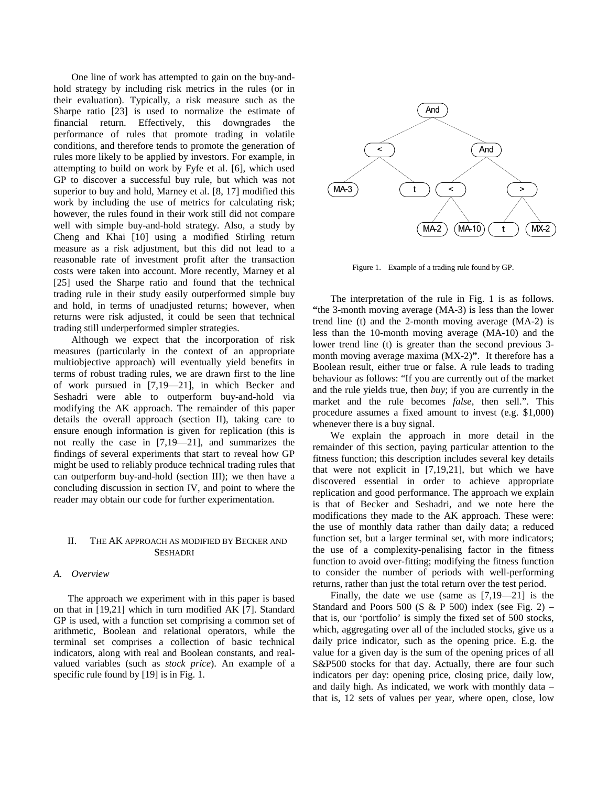One line of work has attempted to gain on the buy-andhold strategy by including risk metrics in the rules (or in their evaluation). Typically, a risk measure such as the Sharpe ratio [23] is used to normalize the estimate of financial return. Effectively, this downgrades the performance of rules that promote trading in volatile conditions, and therefore tends to promote the generation of rules more likely to be applied by investors. For example, in attempting to build on work by Fyfe et al. [6], which used GP to discover a successful buy rule, but which was not superior to buy and hold, Marney et al. [8, 17] modified this work by including the use of metrics for calculating risk; however, the rules found in their work still did not compare well with simple buy-and-hold strategy. Also, a study by Cheng and Khai [10] using a modified Stirling return measure as a risk adjustment, but this did not lead to a reasonable rate of investment profit after the transaction costs were taken into account. More recently, Marney et al [25] used the Sharpe ratio and found that the technical trading rule in their study easily outperformed simple buy and hold, in terms of unadjusted returns; however, when returns were risk adjusted, it could be seen that technical trading still underperformed simpler strategies.

Although we expect that the incorporation of risk measures (particularly in the context of an appropriate multiobjective approach) will eventually yield benefits in terms of robust trading rules, we are drawn first to the line of work pursued in [7,19—21], in which Becker and Seshadri were able to outperform buy-and-hold via modifying the AK approach. The remainder of this paper details the overall approach (section II), taking care to ensure enough information is given for replication (this is not really the case in [7,19—21], and summarizes the findings of several experiments that start to reveal how GP might be used to reliably produce technical trading rules that can outperform buy-and-hold (section III); we then have a concluding discussion in section IV, and point to where the reader may obtain our code for further experimentation.

# II. THE AK APPROACH AS MODIFIED BY BECKER AND SESHADRI

# *A. Overview*

The approach we experiment with in this paper is based on that in [19,21] which in turn modified AK [7]. Standard GP is used, with a function set comprising a common set of arithmetic, Boolean and relational operators, while the terminal set comprises a collection of basic technical indicators, along with real and Boolean constants, and realvalued variables (such as *stock price*). An example of a specific rule found by [19] is in Fig. 1.



Figure 1. Example of a trading rule found by GP.

The interpretation of the rule in Fig. 1 is as follows. **"**the 3-month moving average (MA-3) is less than the lower trend line (t) and the 2-month moving average (MA-2) is less than the 10-month moving average (MA-10) and the lower trend line (t) is greater than the second previous 3 month moving average maxima (MX-2)**"**. It therefore has a Boolean result, either true or false. A rule leads to trading behaviour as follows: "If you are currently out of the market and the rule yields true, then *buy*; if you are currently in the market and the rule becomes *false*, then sell.". This procedure assumes a fixed amount to invest (e.g. \$1,000) whenever there is a buy signal.

We explain the approach in more detail in the remainder of this section, paying particular attention to the fitness function; this description includes several key details that were not explicit in [7,19,21], but which we have discovered essential in order to achieve appropriate replication and good performance. The approach we explain is that of Becker and Seshadri, and we note here the modifications they made to the AK approach. These were: the use of monthly data rather than daily data; a reduced function set, but a larger terminal set, with more indicators; the use of a complexity-penalising factor in the fitness function to avoid over-fitting; modifying the fitness function to consider the number of periods with well-performing returns, rather than just the total return over the test period.

Finally, the date we use (same as [7,19—21] is the Standard and Poors 500 (S & P 500) index (see Fig. 2) – that is, our 'portfolio' is simply the fixed set of 500 stocks, which, aggregating over all of the included stocks, give us a daily price indicator, such as the opening price. E.g. the value for a given day is the sum of the opening prices of all S&P500 stocks for that day. Actually, there are four such indicators per day: opening price, closing price, daily low, and daily high. As indicated, we work with monthly data – that is, 12 sets of values per year, where open, close, low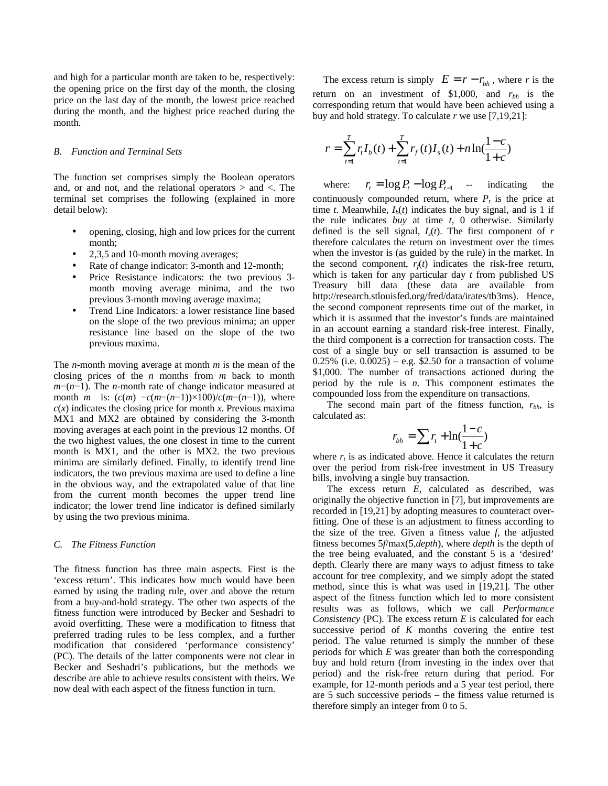and high for a particular month are taken to be, respectively: the opening price on the first day of the month, the closing price on the last day of the month, the lowest price reached during the month, and the highest price reached during the month.

#### *B. Function and Terminal Sets*

The function set comprises simply the Boolean operators and, or and not, and the relational operators  $>$  and  $<$ . The terminal set comprises the following (explained in more detail below):

- opening, closing, high and low prices for the current month;
- 2,3,5 and 10-month moving averages;
- Rate of change indicator: 3-month and 12-month;
- Price Resistance indicators: the two previous 3 month moving average minima, and the two previous 3-month moving average maxima;
- Trend Line Indicators: a lower resistance line based on the slope of the two previous minima; an upper resistance line based on the slope of the two previous maxima.

The *n*-month moving average at month *m* is the mean of the closing prices of the *n* months from *m* back to month *m*−(*n*−1). The *n*-month rate of change indicator measured at month *m* is:  $(c(m) -c(m-(n-1)) \times 100)/c(m-(n-1))$ , where  $c(x)$  indicates the closing price for month *x*. Previous maxima MX1 and MX2 are obtained by considering the 3-month moving averages at each point in the previous 12 months. Of the two highest values, the one closest in time to the current month is MX1, and the other is MX2. the two previous minima are similarly defined. Finally, to identify trend line indicators, the two previous maxima are used to define a line in the obvious way, and the extrapolated value of that line from the current month becomes the upper trend line indicator; the lower trend line indicator is defined similarly by using the two previous minima.

## *C. The Fitness Function*

The fitness function has three main aspects. First is the 'excess return'. This indicates how much would have been earned by using the trading rule, over and above the return from a buy-and-hold strategy. The other two aspects of the fitness function were introduced by Becker and Seshadri to avoid overfitting. These were a modification to fitness that preferred trading rules to be less complex, and a further modification that considered 'performance consistency' (PC). The details of the latter components were not clear in Becker and Seshadri's publications, but the methods we describe are able to achieve results consistent with theirs. We now deal with each aspect of the fitness function in turn.

The excess return is simply  $E = r - r_{bh}$ , where *r* is the return on an investment of \$1,000, and  $r_{bh}$  is the corresponding return that would have been achieved using a buy and hold strategy. To calculate *r* we use [7,19,21]:

$$
r = \sum_{t=1}^{T} r_t I_b(t) + \sum_{t=1}^{T} r_f(t) I_s(t) + n \ln(\frac{1-c}{1+c})
$$

where:  $r_t = \log P_t - \log P_{t-1}$  -- indicating the continuously compounded return, where  $P_t$  is the price at time *t*. Meanwhile,  $I<sub>b</sub>(t)$  indicates the buy signal, and is 1 if the rule indicates *buy* at time *t*, 0 otherwise. Similarly defined is the sell signal,  $I_s(t)$ . The first component of *r* therefore calculates the return on investment over the times when the investor is (as guided by the rule) in the market. In the second component,  $r_f(t)$  indicates the risk-free return, which is taken for any particular day *t* from published US Treasury bill data (these data are available from http://research.stlouisfed.org/fred/data/irates/tb3ms). Hence, the second component represents time out of the market, in which it is assumed that the investor's funds are maintained in an account earning a standard risk-free interest. Finally, the third component is a correction for transaction costs. The cost of a single buy or sell transaction is assumed to be  $0.25\%$  (i.e.  $0.0025$ ) – e.g. \$2.50 for a transaction of volume \$1,000. The number of transactions actioned during the period by the rule is *n*. This component estimates the compounded loss from the expenditure on transactions.

The second main part of the fitness function, *rbh*, is calculated as:

$$
r_{bh} = \sum r_t + \ln(\frac{1-c}{1+c})
$$

where  $r_t$  is as indicated above. Hence it calculates the return over the period from risk-free investment in US Treasury bills, involving a single buy transaction.

The excess return *E*, calculated as described, was originally the objective function in [7], but improvements are recorded in [19,21] by adopting measures to counteract overfitting. One of these is an adjustment to fitness according to the size of the tree. Given a fitness value *f*, the adjusted fitness becomes 5*f*/max(5,*depth*), where *depth* is the depth of the tree being evaluated, and the constant 5 is a 'desired' depth. Clearly there are many ways to adjust fitness to take account for tree complexity, and we simply adopt the stated method, since this is what was used in [19,21]. The other aspect of the fitness function which led to more consistent results was as follows, which we call *Performance Consistency* (PC). The excess return *E* is calculated for each successive period of  $K$  months covering the entire test period. The value returned is simply the number of these periods for which *E* was greater than both the corresponding buy and hold return (from investing in the index over that period) and the risk-free return during that period. For example, for 12-month periods and a 5 year test period, there are 5 such successive periods – the fitness value returned is therefore simply an integer from 0 to 5.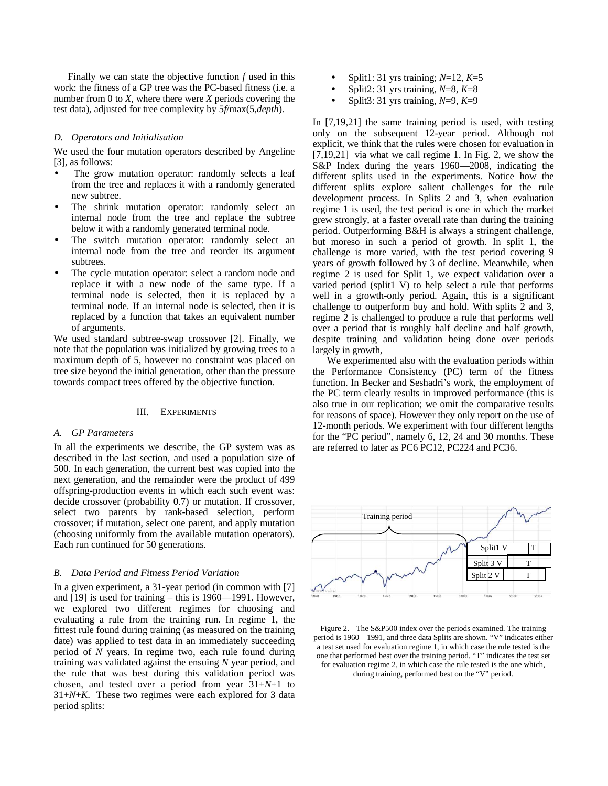Finally we can state the objective function *f* used in this work: the fitness of a GP tree was the PC-based fitness (i.e. a number from 0 to *X*, where there were *X* periods covering the test data), adjusted for tree complexity by 5*f*/max(5,*depth*).

#### *D. Operators and Initialisation*

We used the four mutation operators described by Angeline [3], as follows:

- The grow mutation operator: randomly selects a leaf from the tree and replaces it with a randomly generated new subtree.
- The shrink mutation operator: randomly select an internal node from the tree and replace the subtree below it with a randomly generated terminal node.
- The switch mutation operator: randomly select an internal node from the tree and reorder its argument subtrees.
- The cycle mutation operator: select a random node and replace it with a new node of the same type. If a terminal node is selected, then it is replaced by a terminal node. If an internal node is selected, then it is replaced by a function that takes an equivalent number of arguments.

We used standard subtree-swap crossover [2]. Finally, we note that the population was initialized by growing trees to a maximum depth of 5, however no constraint was placed on tree size beyond the initial generation, other than the pressure towards compact trees offered by the objective function.

#### III. EXPERIMENTS

#### *A. GP Parameters*

In all the experiments we describe, the GP system was as described in the last section, and used a population size of 500. In each generation, the current best was copied into the next generation, and the remainder were the product of 499 offspring-production events in which each such event was: decide crossover (probability 0.7) or mutation. If crossover, select two parents by rank-based selection, perform crossover; if mutation, select one parent, and apply mutation (choosing uniformly from the available mutation operators). Each run continued for 50 generations.

# *B. Data Period and Fitness Period Variation*

In a given experiment, a 31-year period (in common with [7] and [19] is used for training – this is 1960—1991. However, we explored two different regimes for choosing and evaluating a rule from the training run. In regime 1, the fittest rule found during training (as measured on the training date) was applied to test data in an immediately succeeding period of *N* years. In regime two, each rule found during training was validated against the ensuing *N* year period, and the rule that was best during this validation period was chosen, and tested over a period from year 31+*N*+1 to 31+*N*+*K*. These two regimes were each explored for 3 data period splits:

- Split1: 31 yrs training; *N*=12, *K*=5
- Split2: 31 yrs training, *N*=8, *K*=8
- Split3: 31 yrs training, *N*=9, *K*=9

In [7,19,21] the same training period is used, with testing only on the subsequent 12-year period. Although not explicit, we think that the rules were chosen for evaluation in [7,19,21] via what we call regime 1. In Fig. 2, we show the S&P Index during the years 1960—2008, indicating the different splits used in the experiments. Notice how the different splits explore salient challenges for the rule development process. In Splits 2 and 3, when evaluation regime 1 is used, the test period is one in which the market grew strongly, at a faster overall rate than during the training period. Outperforming B&H is always a stringent challenge, but moreso in such a period of growth. In split 1, the challenge is more varied, with the test period covering 9 years of growth followed by 3 of decline. Meanwhile, when regime 2 is used for Split 1, we expect validation over a varied period (split1 V) to help select a rule that performs well in a growth-only period. Again, this is a significant challenge to outperform buy and hold. With splits 2 and 3, regime 2 is challenged to produce a rule that performs well over a period that is roughly half decline and half growth, despite training and validation being done over periods largely in growth,

We experimented also with the evaluation periods within the Performance Consistency (PC) term of the fitness function. In Becker and Seshadri's work, the employment of the PC term clearly results in improved performance (this is also true in our replication; we omit the comparative results for reasons of space). However they only report on the use of 12-month periods. We experiment with four different lengths for the "PC period", namely 6, 12, 24 and 30 months. These are referred to later as PC6 PC12, PC224 and PC36.



Figure 2. The S&P500 index over the periods examined. The training period is 1960—1991, and three data Splits are shown. "V" indicates either a test set used for evaluation regime 1, in which case the rule tested is the one that performed best over the training period. "T" indicates the test set for evaluation regime 2, in which case the rule tested is the one which, during training, performed best on the "V" period.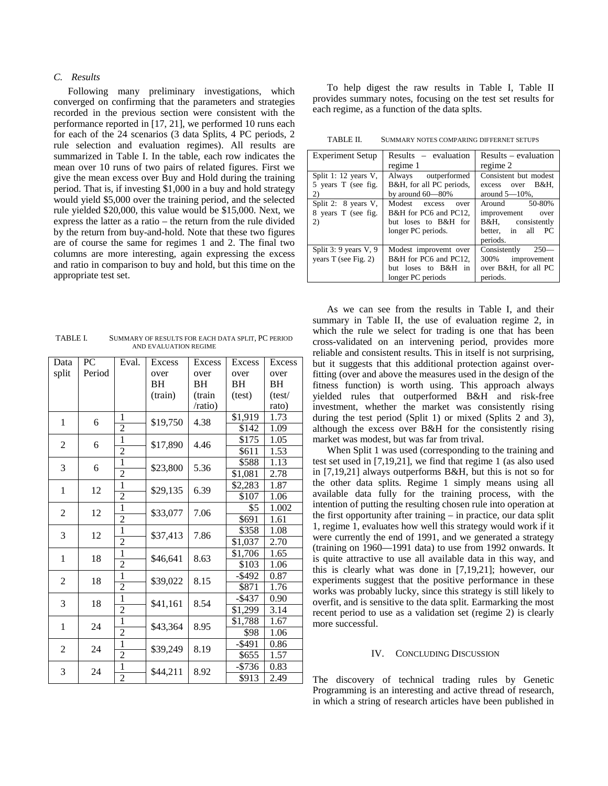# *C. Results*

Following many preliminary investigations, which converged on confirming that the parameters and strategies recorded in the previous section were consistent with the performance reported in [17, 21], we performed 10 runs each for each of the 24 scenarios (3 data Splits, 4 PC periods, 2 rule selection and evaluation regimes). All results are summarized in Table I. In the table, each row indicates the mean over 10 runs of two pairs of related figures. First we give the mean excess over Buy and Hold during the training period. That is, if investing \$1,000 in a buy and hold strategy would yield \$5,000 over the training period, and the selected rule yielded \$20,000, this value would be \$15,000. Next, we express the latter as a ratio – the return from the rule divided by the return from buy-and-hold. Note that these two figures are of course the same for regimes 1 and 2. The final two columns are more interesting, again expressing the excess and ratio in comparison to buy and hold, but this time on the appropriate test set.

TABLE I. SUMMARY OF RESULTS FOR EACH DATA SPLIT, PC PERIOD AND EVALUATION REGIME

| Data           | PC     | Eval.          | Excess   | Excess  | Excess              | <b>Excess</b> |
|----------------|--------|----------------|----------|---------|---------------------|---------------|
| split          | Period |                | over     | over    | over                | over          |
|                |        |                | BH       | ВH      | BH                  | BH            |
|                |        |                | (train)  | (train  | (test)              | (test/        |
|                |        |                |          | /ratio) |                     | rato)         |
| 1              | 6      | 1              | \$19,750 | 4.38    | \$1,919             | 1.73          |
|                |        | $\overline{2}$ |          |         | \$142               | 1.09          |
| $\overline{c}$ | 6      | $\mathbf{1}$   | \$17,890 | 4.46    | \$175               | 1.05          |
|                |        | $\overline{2}$ |          |         | \$611               | 1.53          |
| 3              | 6      | 1              | \$23,800 | 5.36    | \$588               | 1.13          |
|                |        | $\overline{2}$ |          |         | \$1,081             | 2.78          |
| 1              | 12     | 1              | \$29,135 | 6.39    | \$2,283             | 1.87          |
|                |        | $\overline{2}$ |          |         | \$107               | 1.06          |
| $\overline{2}$ | 12     | 1              | \$33,077 | 7.06    | \$5                 | 1.002         |
|                |        | $\overline{2}$ |          |         | \$691               | 1.61          |
| 3              | 12     | $\mathbf{1}$   | \$37,413 | 7.86    | \$358               | 1.08          |
|                |        | $\overline{2}$ |          |         | \$1,037             | 2.70          |
| 1              | 18     | $\overline{1}$ | \$46,641 | 8.63    | $\overline{$1,706}$ | 1.65          |
|                |        | $\overline{2}$ |          |         | \$103               | 1.06          |
| $\overline{2}$ | 18     | $\mathbf{1}$   | \$39,022 | 8.15    | $-$ \$492           | 0.87          |
|                |        | $\overline{2}$ |          |         | \$871               | 1.76          |
| 3              | 18     | $\mathbf{1}$   | \$41,161 | 8.54    | $-$ \$437           | 0.90          |
|                |        | $\overline{2}$ |          |         | \$1,299             | 3.14          |
| 1              | 24     | 1              | \$43,364 | 8.95    | \$1,788             | 1.67          |
|                |        | $\overline{2}$ |          |         | \$98                | 1.06          |
| $\overline{2}$ | 24     | 1              | \$39,249 | 8.19    | $-$ \$491           | 0.86          |
|                |        | $\overline{2}$ |          |         | \$655               | 1.57          |
| 3              | 24     | $\mathbf{1}$   | \$44,211 | 8.92    | $-$ \$736           | 0.83          |
|                |        | $\overline{c}$ |          |         | \$913               | 2.49          |

To help digest the raw results in Table I, Table II provides summary notes, focusing on the test set results for each regime, as a function of the data splts.

TABLE II. SUMMARY NOTES COMPARING DIFFERNET SETUPS

| <b>Experiment Setup</b>  | $Results - evaluation$   | Results – evaluation   |  |
|--------------------------|--------------------------|------------------------|--|
|                          | regime 1                 | regime 2               |  |
| Split 1: 12 years V,     | Always outperformed      | Consistent but modest  |  |
| 5 years T (see fig.      | B&H, for all PC periods, | excess over B&H.       |  |
| 2)                       | by around $60-80\%$      | around $5-10\%$ .      |  |
| Split 2: 8 years V,      | Modest excess<br>over    | Around 50-80%          |  |
| 8 years T (see fig.      | B&H for PC6 and PC12,    | improvement<br>over    |  |
| 2)                       | but loses to B&H for     | B&H, consistently      |  |
|                          | longer PC periods.       | better, in all PC      |  |
|                          |                          | periods.               |  |
| Split $3:9$ years $V, 9$ | Modest improvemt over    | Consistently<br>$250-$ |  |
| years $T$ (see Fig. 2)   | B&H for PC6 and PC12,    | improvement<br>300%    |  |
|                          | but loses to B&H in      | over B&H, for all PC   |  |
|                          | longer PC periods        | periods.               |  |

As we can see from the results in Table I, and their summary in Table II, the use of evaluation regime 2, in which the rule we select for trading is one that has been cross-validated on an intervening period, provides more reliable and consistent results. This in itself is not surprising, but it suggests that this additional protection against overfitting (over and above the measures used in the design of the fitness function) is worth using. This approach always yielded rules that outperformed B&H and risk-free investment, whether the market was consistently rising during the test period (Split 1) or mixed (Splits 2 and 3), although the excess over B&H for the consistently rising market was modest, but was far from trival.

When Split 1 was used (corresponding to the training and test set used in [7,19,21], we find that regime 1 (as also used in [7,19,21] always outperforms B&H, but this is not so for the other data splits. Regime 1 simply means using all available data fully for the training process, with the intention of putting the resulting chosen rule into operation at the first opportunity after training – in practice, our data split 1, regime 1, evaluates how well this strategy would work if it were currently the end of 1991, and we generated a strategy (training on 1960—1991 data) to use from 1992 onwards. It is quite attractive to use all available data in this way, and this is clearly what was done in [7,19,21]; however, our experiments suggest that the positive performance in these works was probably lucky, since this strategy is still likely to overfit, and is sensitive to the data split. Earmarking the most recent period to use as a validation set (regime 2) is clearly more successful.

## IV. CONCLUDING DISCUSSION

The discovery of technical trading rules by Genetic Programming is an interesting and active thread of research, in which a string of research articles have been published in